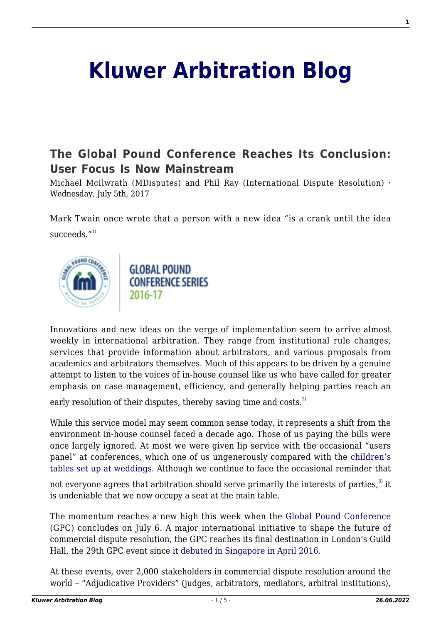# **[Kluwer Arbitration Blog](http://arbitrationblog.kluwerarbitration.com/)**

## **[The Global Pound Conference Reaches Its Conclusion:](http://arbitrationblog.kluwerarbitration.com/2017/07/05/gpc/) [User Focus Is Now Mainstream](http://arbitrationblog.kluwerarbitration.com/2017/07/05/gpc/)**

Michael McIlwrath (MDisputes) and Phil Ray (International Dispute Resolution) · Wednesday, July 5th, 2017

Mark Twain once wrote that a person with a new idea "is a crank until the idea succeeds. $^{\prime\prime}$ <sup>1)</sup>



**GLOBAL POUND CONFERENCE SERIES** 2016-17

Innovations and new ideas on the verge of implementation seem to arrive almost weekly in international arbitration. They range from institutional rule changes, services that provide information about arbitrators, and various proposals from academics and arbitrators themselves. Much of this appears to be driven by a genuine attempt to listen to the voices of in-house counsel like us who have called for greater emphasis on case management, efficiency, and generally helping parties reach an

early resolution of their disputes, thereby saving time and costs.<sup>2)</sup>

While this service model may seem common sense today, it represents a shift from the environment in-house counsel faced a decade ago. Those of us paying the bills were once largely ignored. At most we were given lip service with the occasional "users panel" at conferences, which one of us ungenerously compared with the [children's](http://kluwerarbitrationblog.com/2014/07/27/in-house-counsel-take-note-iccs-john-beechey-wont-be-sitting-you-at-the-childrens-table/) [tables set up at weddings.](http://kluwerarbitrationblog.com/2014/07/27/in-house-counsel-take-note-iccs-john-beechey-wont-be-sitting-you-at-the-childrens-table/) Although we continue to face the occasional reminder that

not everyone agrees that arbitration should serve primarily the interests of parties,<sup>3)</sup> it is undeniable that we now occupy a seat at the main table.

The momentum reaches a new high this week when the [Global Pound Conference](http://kluwerarbitrationblog.com/2015/05/18/the-2016-global-pound-conference-series/) (GPC) concludes on July 6. A major international initiative to shape the future of commercial dispute resolution, the GPC reaches its final destination in London's Guild Hall, the 29th GPC event since [it debuted in Singapore in April 2016.](http://www.globalpoundconference.org/)

At these events, over 2,000 stakeholders in commercial dispute resolution around the world – "Adjudicative Providers" (judges, arbitrators, mediators, arbitral institutions),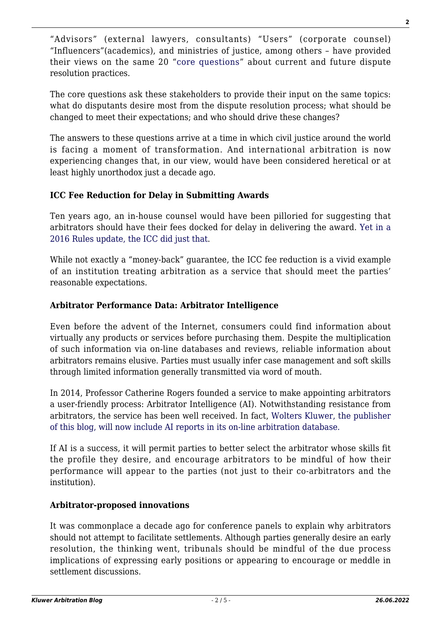"Advisors" (external lawyers, consultants) "Users" (corporate counsel) "Influencers"(academics), and ministries of justice, among others – have provided their views on the same 20 "[core questions"](http://globalpoundconference.org/Documents/GPC Series 2016-17 -- Core Questions -- Publication Copy (March 6 2016).pdf) about current and future dispute resolution practices.

The core questions ask these stakeholders to provide their input on the same topics: what do disputants desire most from the dispute resolution process; what should be changed to meet their expectations; and who should drive these changes?

The answers to these questions arrive at a time in which civil justice around the world is facing a moment of transformation. And international arbitration is now experiencing changes that, in our view, would have been considered heretical or at least highly unorthodox just a decade ago.

### **ICC Fee Reduction for Delay in Submitting Awards**

Ten years ago, an in-house counsel would have been pilloried for suggesting that arbitrators should have their fees docked for delay in delivering the award. [Yet in a](http://kluwerarbitrationblog.com/2016/01/06/icc-to-name-sitting-arbitrators-and-penalize-delay-in-issuing-awards/) [2016 Rules update, the ICC did just that](http://kluwerarbitrationblog.com/2016/01/06/icc-to-name-sitting-arbitrators-and-penalize-delay-in-issuing-awards/).

While not exactly a "money-back" guarantee, the ICC fee reduction is a vivid example of an institution treating arbitration as a service that should meet the parties' reasonable expectations.

#### **Arbitrator Performance Data: Arbitrator Intelligence**

Even before the advent of the Internet, consumers could find information about virtually any products or services before purchasing them. Despite the multiplication of such information via on-line databases and reviews, reliable information about arbitrators remains elusive. Parties must usually infer case management and soft skills through limited information generally transmitted via word of mouth.

In 2014, Professor Catherine Rogers founded a service to make appointing arbitrators a user-friendly process: Arbitrator Intelligence (AI). Notwithstanding resistance from arbitrators, the service has been well received. In fact, [Wolters Kluwer, the publisher](http://kluwerarbitrationblog.com/2017/06/28/wolters-kluwer-announces-collaboration-arbitrator-intelligence/) [of this blog, will now include AI reports in its on-line arbitration database.](http://kluwerarbitrationblog.com/2017/06/28/wolters-kluwer-announces-collaboration-arbitrator-intelligence/)

If AI is a success, it will permit parties to better select the arbitrator whose skills fit the profile they desire, and encourage arbitrators to be mindful of how their performance will appear to the parties (not just to their co-arbitrators and the institution).

#### **Arbitrator-proposed innovations**

It was commonplace a decade ago for conference panels to explain why arbitrators should not attempt to facilitate settlements. Although parties generally desire an early resolution, the thinking went, tribunals should be mindful of the due process implications of expressing early positions or appearing to encourage or meddle in settlement discussions.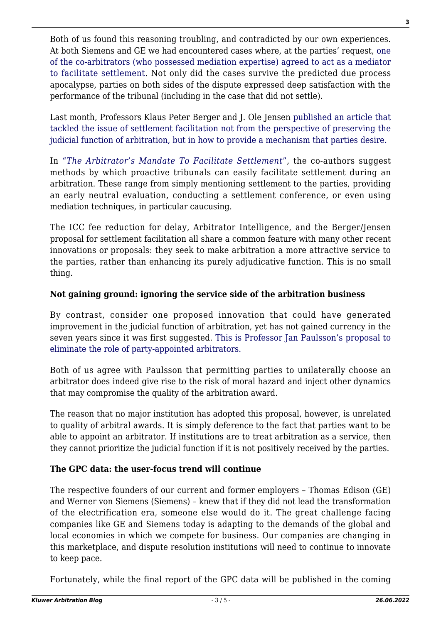Both of us found this reasoning troubling, and contradicted by our own experiences. At both Siemens and GE we had encountered cases where, at the parties' request, [one](http://kluwerarbitrationblog.com/2011/09/13/anti-arbitration-its-not-hard-to-mediate-during-arbitral-proceedings/) [of the co-arbitrators \(who possessed mediation expertise\) agreed to act as a mediator](http://kluwerarbitrationblog.com/2011/09/13/anti-arbitration-its-not-hard-to-mediate-during-arbitral-proceedings/) [to facilitate settlement](http://kluwerarbitrationblog.com/2011/09/13/anti-arbitration-its-not-hard-to-mediate-during-arbitral-proceedings/). Not only did the cases survive the predicted due process apocalypse, parties on both sides of the dispute expressed deep satisfaction with the performance of the tribunal (including in the case that did not settle).

Last month, Professors Klaus Peter Berger and J. Ole Jensen [published an article that](https://blog.globalpoundconference.org/2017/06/30/this-way-please-the-changing-role-of-the-arbitrator/) [tackled the issue of settlement facilitation not from the perspective of preserving the](https://blog.globalpoundconference.org/2017/06/30/this-way-please-the-changing-role-of-the-arbitrator/) [judicial function of arbitration, but in how to provide a mechanism that parties desire.](https://blog.globalpoundconference.org/2017/06/30/this-way-please-the-changing-role-of-the-arbitrator/)

In ["](http://ir.lawnet.fordham.edu/ilj/vol40/iss3/7/)*[The Arbitrator's Mandate To Facilitate Settlement](http://ir.lawnet.fordham.edu/ilj/vol40/iss3/7/)*["](http://ir.lawnet.fordham.edu/ilj/vol40/iss3/7/), the co-authors suggest methods by which proactive tribunals can easily facilitate settlement during an arbitration. These range from simply mentioning settlement to the parties, providing an early neutral evaluation, conducting a settlement conference, or even using mediation techniques, in particular caucusing.

The ICC fee reduction for delay, Arbitrator Intelligence, and the Berger/Jensen proposal for settlement facilitation all share a common feature with many other recent innovations or proposals: they seek to make arbitration a more attractive service to the parties, rather than enhancing its purely adjudicative function. This is no small thing.

### **Not gaining ground: ignoring the service side of the arbitration business**

By contrast, consider one proposed innovation that could have generated improvement in the judicial function of arbitration, yet has not gained currency in the seven years since it was first suggested. [This is Professor Jan Paulsson's proposal to](http://kluwerarbitrationblog.com/2017/07/03/call-remove-unilateral-appointments-seven-years/) [eliminate the role of party-appointed arbitrators.](http://kluwerarbitrationblog.com/2017/07/03/call-remove-unilateral-appointments-seven-years/)

Both of us agree with Paulsson that permitting parties to unilaterally choose an arbitrator does indeed give rise to the risk of moral hazard and inject other dynamics that may compromise the quality of the arbitration award.

The reason that no major institution has adopted this proposal, however, is unrelated to quality of arbitral awards. It is simply deference to the fact that parties want to be able to appoint an arbitrator. If institutions are to treat arbitration as a service, then they cannot prioritize the judicial function if it is not positively received by the parties.

### **The GPC data: the user-focus trend will continue**

The respective founders of our current and former employers – Thomas Edison (GE) and Werner von Siemens (Siemens) – knew that if they did not lead the transformation of the electrification era, someone else would do it. The great challenge facing companies like GE and Siemens today is adapting to the demands of the global and local economies in which we compete for business. Our companies are changing in this marketplace, and dispute resolution institutions will need to continue to innovate to keep pace.

Fortunately, while the final report of the GPC data will be published in the coming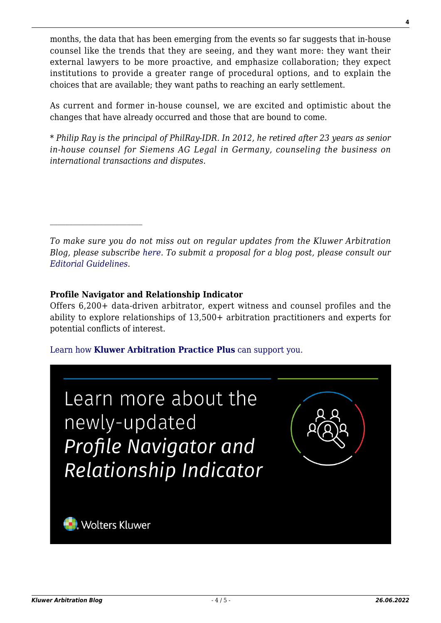months, the data that has been emerging from the events so far suggests that in-house counsel like the trends that they are seeing, and they want more: they want their external lawyers to be more proactive, and emphasize collaboration; they expect institutions to provide a greater range of procedural options, and to explain the choices that are available; they want paths to reaching an early settlement.

As current and former in-house counsel, we are excited and optimistic about the changes that have already occurred and those that are bound to come.

*\* Philip Ray is the principal of PhilRay-IDR. In 2012, he retired after 23 years as senior in-house counsel for Siemens AG Legal in Germany, counseling the business on international transactions and disputes.*

*To make sure you do not miss out on regular updates from the Kluwer Arbitration Blog, please subscribe [here](http://arbitrationblog.kluwerarbitration.com/newsletter/). To submit a proposal for a blog post, please consult our [Editorial Guidelines.](http://arbitrationblog.kluwerarbitration.com/editorial-guidelines/)*

#### **Profile Navigator and Relationship Indicator**

 $\mathcal{L}_\text{max}$ 

Offers 6,200+ data-driven arbitrator, expert witness and counsel profiles and the ability to explore relationships of 13,500+ arbitration practitioners and experts for potential conflicts of interest.

#### [Learn how](https://www.wolterskluwer.com/en/solutions/kluwerarbitration/practiceplus?utm_source=arbitrationblog&utm_medium=articleCTA&utm_campaign=article-banner) **[Kluwer Arbitration Practice Plus](https://www.wolterskluwer.com/en/solutions/kluwerarbitration/practiceplus?utm_source=arbitrationblog&utm_medium=articleCTA&utm_campaign=article-banner)** [can support you.](https://www.wolterskluwer.com/en/solutions/kluwerarbitration/practiceplus?utm_source=arbitrationblog&utm_medium=articleCTA&utm_campaign=article-banner)